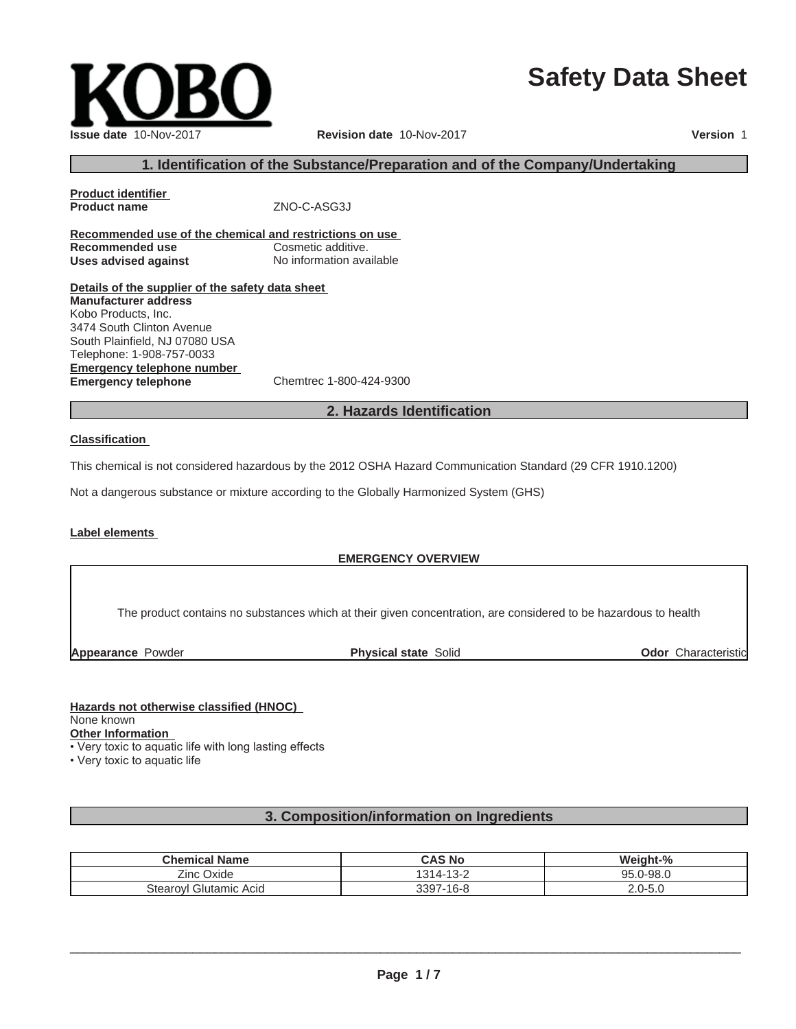# **Safety Data Sheet**

| Issue date 10-Nov-2017 |
|------------------------|

#### **Issue date** 10-Nov-2017 **Revision date** 10-Nov-2017 **Version** 1

#### **1. Identification of the Substance/Preparation and of the Company/Undertaking**

**Product identifier Product name** ZNO-C-ASG3J

**Recommended use of the chemical and restrictions on use Recommended use Cosmetic additive. Uses advised against** No information available

**Details of the supplier of the safety data sheet Emergency telephone number Emergency telephone** Chemtrec 1-800-424-9300 **Manufacturer address** Kobo Products, Inc. 3474 South Clinton Avenue South Plainfield, NJ 07080 USA Telephone: 1-908-757-0033

#### **2. Hazards Identification**

#### **Classification**

This chemical is not considered hazardous by the 2012 OSHA Hazard Communication Standard (29 CFR 1910.1200)

Not a dangerous substance or mixture according to the Globally Harmonized System (GHS)

#### **Label elements**

#### **EMERGENCY OVERVIEW**

The product contains no substances which at their given concentration, are considered to be hazardous to health

**Appearance** Powder **Physical state** Solid

**Odor** Characteristic

#### **Hazards not otherwise classified (HNOC)**

None known

**Other Information**

• Very toxic to aquatic life with long lasting effects

• Very toxic to aquatic life

#### **3. Composition/information on Ingredients**

| <b>Chemical Name</b>        | CAS No                      | Weight-%                |
|-----------------------------|-----------------------------|-------------------------|
| ∠ınc<br>Oxide               | $\sqrt{2}$<br>314-<br>ے−כ⊺∸ | $.0 - 98.0$<br>QF.<br>י |
| ' Glutamic Acid<br>Stearovl | 3397-16-8                   | .0-5.C<br>ה ר<br>۷.U    |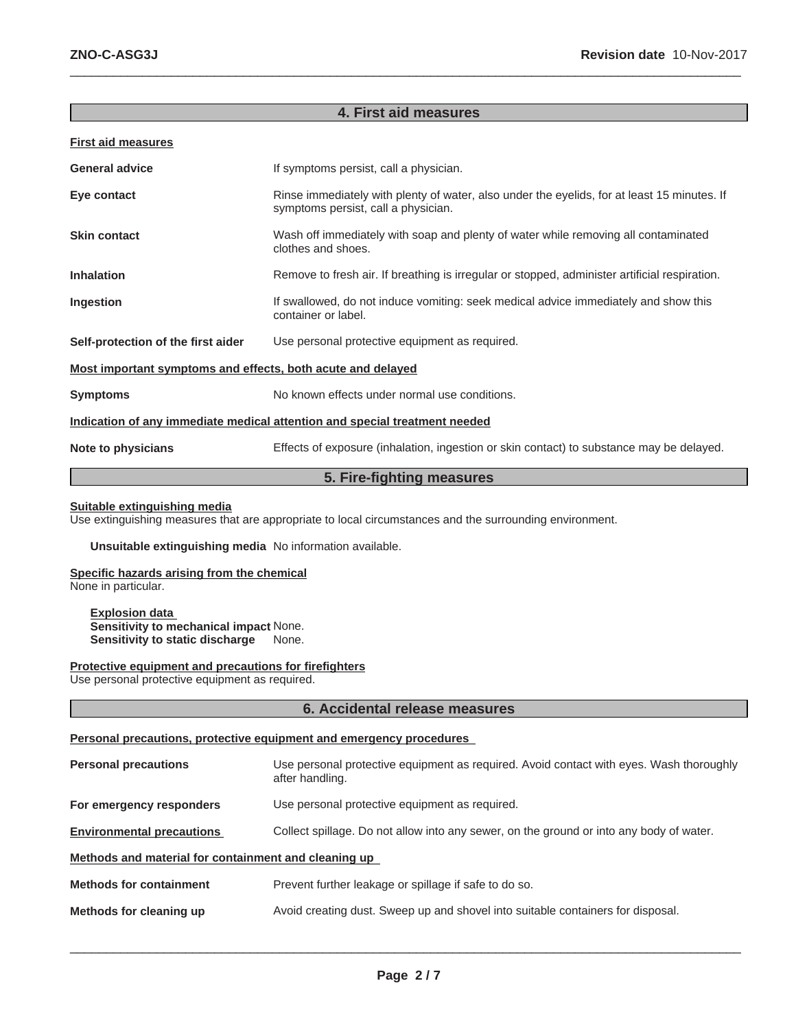#### **4. First aid measures**

 $\_$  ,  $\_$  ,  $\_$  ,  $\_$  ,  $\_$  ,  $\_$  ,  $\_$  ,  $\_$  ,  $\_$  ,  $\_$  ,  $\_$  ,  $\_$  ,  $\_$  ,  $\_$  ,  $\_$  ,  $\_$  ,  $\_$  ,  $\_$  ,  $\_$  ,  $\_$  ,  $\_$  ,  $\_$  ,  $\_$  ,  $\_$  ,  $\_$  ,  $\_$  ,  $\_$  ,  $\_$  ,  $\_$  ,  $\_$  ,  $\_$  ,  $\_$  ,  $\_$  ,  $\_$  ,  $\_$  ,  $\_$  ,  $\_$  ,

#### **First aid measures**

| <b>General advice</b>                                                      | If symptoms persist, call a physician.                                                                                             |  |
|----------------------------------------------------------------------------|------------------------------------------------------------------------------------------------------------------------------------|--|
| Eye contact                                                                | Rinse immediately with plenty of water, also under the eyelids, for at least 15 minutes. If<br>symptoms persist, call a physician. |  |
| <b>Skin contact</b>                                                        | Wash off immediately with soap and plenty of water while removing all contaminated<br>clothes and shoes.                           |  |
| <b>Inhalation</b>                                                          | Remove to fresh air. If breathing is irregular or stopped, administer artificial respiration.                                      |  |
| Ingestion                                                                  | If swallowed, do not induce vomiting: seek medical advice immediately and show this<br>container or label.                         |  |
| Self-protection of the first aider                                         | Use personal protective equipment as required.                                                                                     |  |
| Most important symptoms and effects, both acute and delayed                |                                                                                                                                    |  |
| <b>Symptoms</b>                                                            | No known effects under normal use conditions.                                                                                      |  |
| Indication of any immediate medical attention and special treatment needed |                                                                                                                                    |  |
| Note to physicians                                                         | Effects of exposure (inhalation, ingestion or skin contact) to substance may be delayed.                                           |  |

# **5. Fire-fighting measures**

#### **Suitable extinguishing media**

Use extinguishing measures that are appropriate to local circumstances and the surrounding environment.

#### **Unsuitable extinguishing media** No information available.

#### **Specific hazards arising from the chemical**

None in particular.

**Explosion data Sensitivity to mechanical impact** None. **Sensitivity to static discharge** None.

# **Protective equipment and precautions for firefighters**

Use personal protective equipment as required.

#### **6. Accidental release measures**

#### **Personal precautions, protective equipment and emergency procedures**

| <b>Personal precautions</b>                          | Use personal protective equipment as required. Avoid contact with eyes. Wash thoroughly<br>after handling. |
|------------------------------------------------------|------------------------------------------------------------------------------------------------------------|
| For emergency responders                             | Use personal protective equipment as required.                                                             |
| <b>Environmental precautions</b>                     | Collect spillage. Do not allow into any sewer, on the ground or into any body of water.                    |
| Methods and material for containment and cleaning up |                                                                                                            |
| <b>Methods for containment</b>                       | Prevent further leakage or spillage if safe to do so.                                                      |
| Methods for cleaning up                              | Avoid creating dust. Sweep up and shovel into suitable containers for disposal.                            |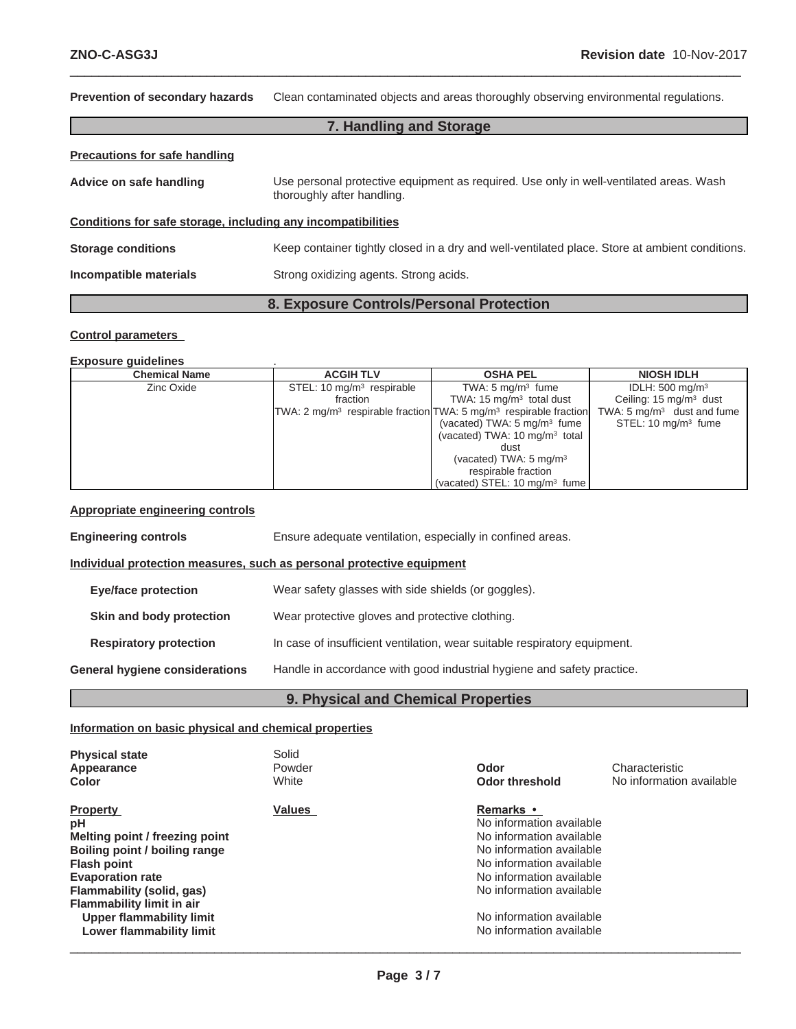**Prevention of secondary hazards** Clean contaminated objects and areas thoroughly observing environmental regulations. **7. Handling and Storage Precautions for safe handling Advice on safe handling** Use personal protective equipment as required. Use only in well-ventilated areas. Wash thoroughly after handling. **Conditions for safe storage, including any incompatibilities Storage conditions** Keep container tightly closed in a dry and well-ventilated place. Store at ambient conditions. **Incompatible materials** Strong oxidizing agents. Strong acids.

 $\_$  ,  $\_$  ,  $\_$  ,  $\_$  ,  $\_$  ,  $\_$  ,  $\_$  ,  $\_$  ,  $\_$  ,  $\_$  ,  $\_$  ,  $\_$  ,  $\_$  ,  $\_$  ,  $\_$  ,  $\_$  ,  $\_$  ,  $\_$  ,  $\_$  ,  $\_$  ,  $\_$  ,  $\_$  ,  $\_$  ,  $\_$  ,  $\_$  ,  $\_$  ,  $\_$  ,  $\_$  ,  $\_$  ,  $\_$  ,  $\_$  ,  $\_$  ,  $\_$  ,  $\_$  ,  $\_$  ,  $\_$  ,  $\_$  ,

# **8. Exposure Controls/Personal Protection**

#### **Control parameters**

#### **Exposure guidelines** .

| <b>Chemical Name</b> | <b>ACGIH TLV</b>            | <b>OSHA PEL</b>                                                                           | <b>NIOSH IDLH</b>                     |
|----------------------|-----------------------------|-------------------------------------------------------------------------------------------|---------------------------------------|
| Zinc Oxide           | STEL: 10 $mq/m3$ respirable | TWA: $5 \text{ mg/m}^3$ fume                                                              | IDLH: $500 \text{ mg/m}^3$            |
|                      | fraction                    | TWA: $15 \text{ mg/m}^3$ total dust                                                       | Ceiling: $15 \text{ mg/m}^3$ dust     |
|                      |                             | TWA: 2 mg/m <sup>3</sup> respirable fraction TWA: 5 mg/m <sup>3</sup> respirable fraction | TWA: $5 \text{ mg/m}^3$ dust and fume |
|                      |                             | (vacated) TWA: $5 \text{ mg/m}^3$ fume                                                    | STEL: $10 \text{ mg/m}^3$ fume        |
|                      |                             | (vacated) TWA: $10 \text{ mg/m}^3$ total                                                  |                                       |
|                      |                             | dust                                                                                      |                                       |
|                      |                             | (vacated) TWA: $5 \text{ mg/m}^3$                                                         |                                       |
|                      |                             | respirable fraction                                                                       |                                       |
|                      |                             | (vacated) STEL: $10 \text{ mg/m}^3$ fume                                                  |                                       |

#### **Appropriate engineering controls**

| <b>Engineering controls</b>                                           | Ensure adequate ventilation, especially in confined areas.                |  |  |
|-----------------------------------------------------------------------|---------------------------------------------------------------------------|--|--|
| Individual protection measures, such as personal protective equipment |                                                                           |  |  |
| <b>Eye/face protection</b>                                            | Wear safety glasses with side shields (or goggles).                       |  |  |
| Skin and body protection                                              | Wear protective gloves and protective clothing.                           |  |  |
| <b>Respiratory protection</b>                                         | In case of insufficient ventilation, wear suitable respiratory equipment. |  |  |
| <b>General hygiene considerations</b>                                 | Handle in accordance with good industrial hygiene and safety practice.    |  |  |

### **9. Physical and Chemical Properties**

#### **Information on basic physical and chemical properties**

| <b>Physical state</b><br>Appearance<br>Color                                                                                                                                                                                           | Solid<br>Powder<br>White | Odor<br><b>Odor threshold</b>                                                                                                                                                                                 | Characteristic<br>No information available |
|----------------------------------------------------------------------------------------------------------------------------------------------------------------------------------------------------------------------------------------|--------------------------|---------------------------------------------------------------------------------------------------------------------------------------------------------------------------------------------------------------|--------------------------------------------|
| <b>Property</b><br>рH<br>Melting point / freezing point<br>Boiling point / boiling range<br><b>Flash point</b><br><b>Evaporation rate</b><br>Flammability (solid, gas)<br><b>Flammability limit in air</b><br>Upper flammability limit | <b>Values</b>            | Remarks •<br>No information available<br>No information available<br>No information available<br>No information available<br>No information available<br>No information available<br>No information available |                                            |
| Lower flammability limit                                                                                                                                                                                                               |                          | No information available                                                                                                                                                                                      |                                            |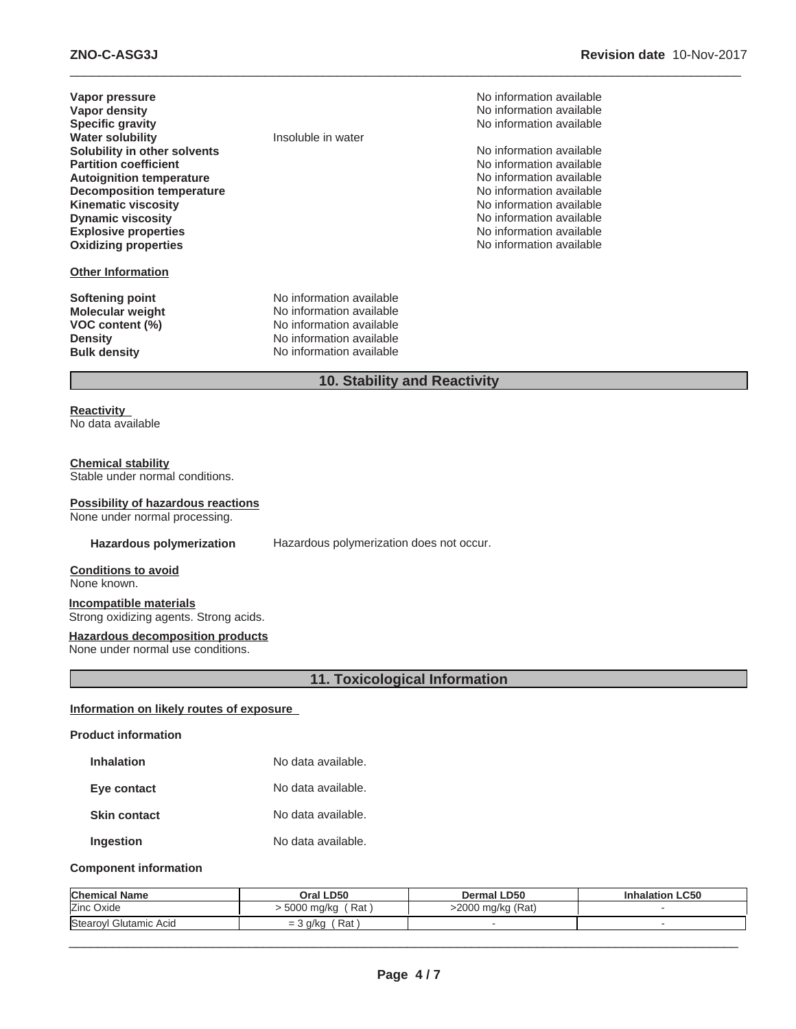| Vapor pressure                   |                          |
|----------------------------------|--------------------------|
| Vapor density                    |                          |
| <b>Specific gravity</b>          |                          |
| <b>Water solubility</b>          | Insoluble in water       |
| Solubility in other solvents     |                          |
| <b>Partition coefficient</b>     |                          |
| <b>Autoignition temperature</b>  |                          |
| <b>Decomposition temperature</b> |                          |
| <b>Kinematic viscosity</b>       |                          |
| <b>Dynamic viscosity</b>         |                          |
| <b>Explosive properties</b>      |                          |
| <b>Oxidizing properties</b>      |                          |
|                                  |                          |
| <b>Other Information</b>         |                          |
|                                  |                          |
| Softening point                  | No information available |

**Molecular weight** No information available **VOC content (%)** No information available **Density** No information available **Bulk density** No information available

**No information available No information available Specific gravity** No information available

**No information available No information available Autoignition temperature** No information available No information available **No information available No information available Explosive properties** No information available **Oxidizing properties** No information available

# **10. Stability and Reactivity**

 $\_$  ,  $\_$  ,  $\_$  ,  $\_$  ,  $\_$  ,  $\_$  ,  $\_$  ,  $\_$  ,  $\_$  ,  $\_$  ,  $\_$  ,  $\_$  ,  $\_$  ,  $\_$  ,  $\_$  ,  $\_$  ,  $\_$  ,  $\_$  ,  $\_$  ,  $\_$  ,  $\_$  ,  $\_$  ,  $\_$  ,  $\_$  ,  $\_$  ,  $\_$  ,  $\_$  ,  $\_$  ,  $\_$  ,  $\_$  ,  $\_$  ,  $\_$  ,  $\_$  ,  $\_$  ,  $\_$  ,  $\_$  ,  $\_$  ,

#### **Reactivity**

No data available

#### **Chemical stability**

Stable under normal conditions.

#### **Possibility of hazardous reactions**

None under normal processing.

**Hazardous polymerization** Hazardous polymerization does not occur.

**Conditions to avoid**

None known.

**Incompatible materials** Strong oxidizing agents. Strong acids.

**Hazardous decomposition products**

None under normal use conditions.

# **11. Toxicological Information**

#### **Information on likely routes of exposure**

#### **Product information**

| <b>Inhalation</b> | No data available. |  |
|-------------------|--------------------|--|
|                   |                    |  |

**Eye contact** No data available.

**Skin contact** No data available.

**Ingestion** No data available.

#### **Component information**

| <b>Chemical Name</b>   | Oral LD50              | <b>Dermal LD50</b> | <b>Inhalation LC50</b> |
|------------------------|------------------------|--------------------|------------------------|
| Zinc Oxide             | ' Rat<br>. 5000 mg/kg  | >2000 mg/kg (Rat)  |                        |
| Stearoyl Glutamic Acid | Rat<br>a/ka<br>$= 0.5$ |                    |                        |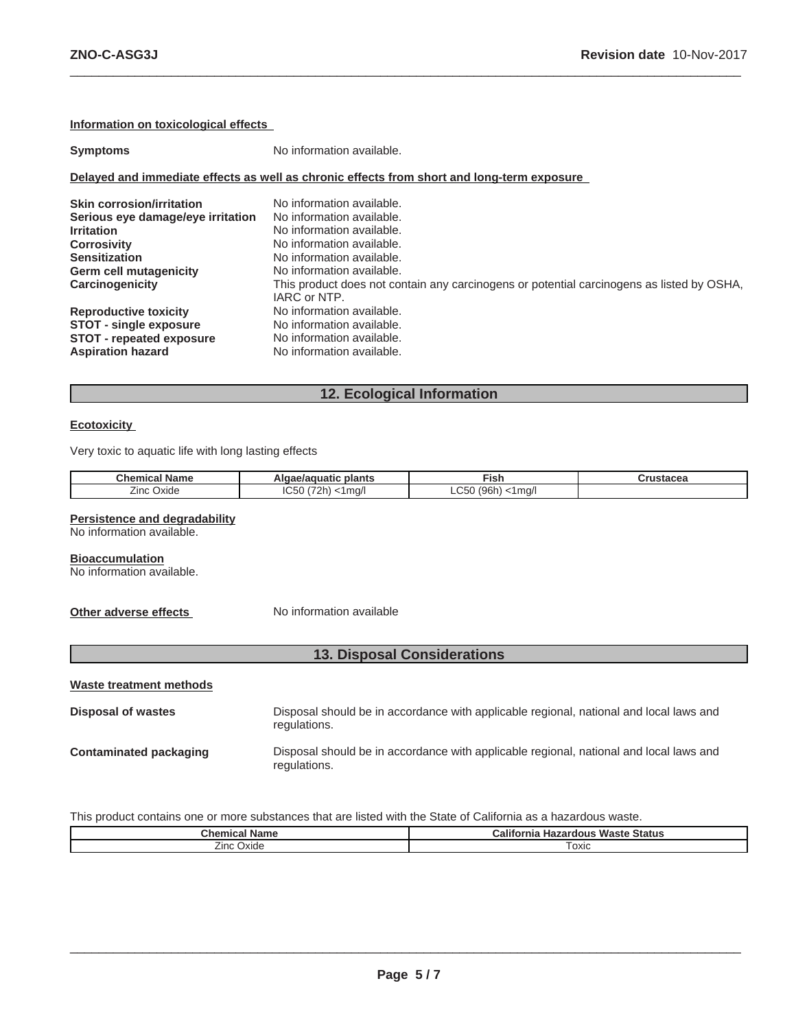#### **Information on toxicological effects**

| <b>Symptoms</b>                   | No information available.                                                                                 |
|-----------------------------------|-----------------------------------------------------------------------------------------------------------|
|                                   | Delayed and immediate effects as well as chronic effects from short and long-term exposure                |
| <b>Skin corrosion/irritation</b>  | No information available.                                                                                 |
| Serious eye damage/eye irritation | No information available.                                                                                 |
| <b>Irritation</b>                 | No information available.                                                                                 |
| <b>Corrosivity</b>                | No information available.                                                                                 |
| <b>Sensitization</b>              | No information available.                                                                                 |
| Germ cell mutagenicity            | No information available.                                                                                 |
| Carcinogenicity                   | This product does not contain any carcinogens or potential carcinogens as listed by OSHA.<br>IARC or NTP. |
| <b>Reproductive toxicity</b>      | No information available.                                                                                 |
| <b>STOT - single exposure</b>     | No information available.                                                                                 |
| <b>STOT - repeated exposure</b>   | No information available.                                                                                 |
| <b>Aspiration hazard</b>          | No information available.                                                                                 |

 $\_$  ,  $\_$  ,  $\_$  ,  $\_$  ,  $\_$  ,  $\_$  ,  $\_$  ,  $\_$  ,  $\_$  ,  $\_$  ,  $\_$  ,  $\_$  ,  $\_$  ,  $\_$  ,  $\_$  ,  $\_$  ,  $\_$  ,  $\_$  ,  $\_$  ,  $\_$  ,  $\_$  ,  $\_$  ,  $\_$  ,  $\_$  ,  $\_$  ,  $\_$  ,  $\_$  ,  $\_$  ,  $\_$  ,  $\_$  ,  $\_$  ,  $\_$  ,  $\_$  ,  $\_$  ,  $\_$  ,  $\_$  ,  $\_$  ,

# **12. Ecological Information**

#### **Ecotoxicity**

Very toxic to aquatic life with long lasting effects

| <b>Chemical Name</b> | plants<br>nciuatic<br>Algae/agu         | Fix.                                             | $"r \rightarrow r \rightarrow \sim \sim \sim$<br>uuslauto |
|----------------------|-----------------------------------------|--------------------------------------------------|-----------------------------------------------------------|
| --<br>Zinc'<br>Oxide | $\sim$ $\sim$<br>ima/'<br>$\sim$<br>יטש | ~-<br>106 <sub>k</sub><br>l ma/<br>$\sim$<br>ユレー |                                                           |

#### **Persistence and degradability**

No information available.

#### **Bioaccumulation**

No information available.

**Other adverse effects** No information available

# **13. Disposal Considerations**

**Waste treatment methods**

| Disposal of wastes     | Disposal should be in accordance with applicable regional, national and local laws and<br>regulations. |
|------------------------|--------------------------------------------------------------------------------------------------------|
| Contaminated packaging | Disposal should be in accordance with applicable regional, national and local laws and<br>regulations. |

This product contains one or more substances that are listed with the State of California as a hazardous waste.

| Chemical Name            | Waste<br><b>California</b><br>Status<br>Hazardous |  |
|--------------------------|---------------------------------------------------|--|
| --<br>∽<br>∠ınc<br>Oxide | oxic                                              |  |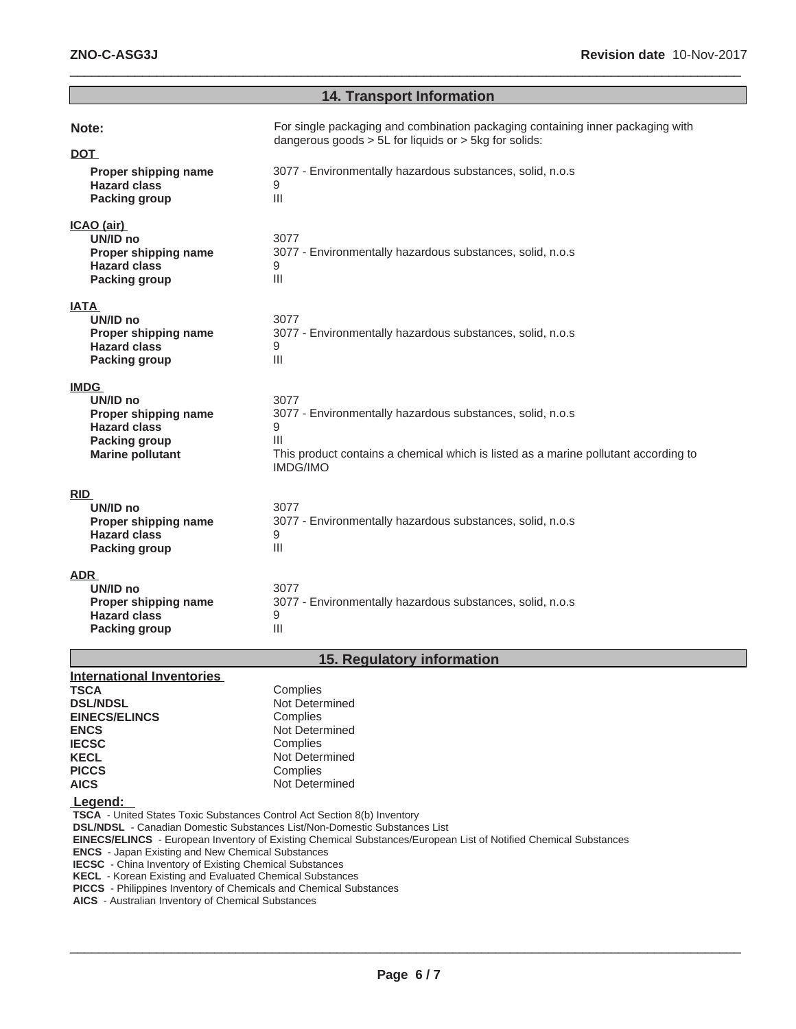# **14. Transport Information**

 $\_$  ,  $\_$  ,  $\_$  ,  $\_$  ,  $\_$  ,  $\_$  ,  $\_$  ,  $\_$  ,  $\_$  ,  $\_$  ,  $\_$  ,  $\_$  ,  $\_$  ,  $\_$  ,  $\_$  ,  $\_$  ,  $\_$  ,  $\_$  ,  $\_$  ,  $\_$  ,  $\_$  ,  $\_$  ,  $\_$  ,  $\_$  ,  $\_$  ,  $\_$  ,  $\_$  ,  $\_$  ,  $\_$  ,  $\_$  ,  $\_$  ,  $\_$  ,  $\_$  ,  $\_$  ,  $\_$  ,  $\_$  ,  $\_$  ,

| Note:                                                                                                                     | For single packaging and combination packaging containing inner packaging with<br>dangerous goods $> 5L$ for liquids or $> 5kg$ for solids:                                                        |
|---------------------------------------------------------------------------------------------------------------------------|----------------------------------------------------------------------------------------------------------------------------------------------------------------------------------------------------|
| <b>DOT</b>                                                                                                                |                                                                                                                                                                                                    |
| Proper shipping name<br><b>Hazard class</b><br><b>Packing group</b>                                                       | 3077 - Environmentally hazardous substances, solid, n.o.s<br>9<br>III                                                                                                                              |
| ICAO (air)<br>UN/ID no<br>Proper shipping name<br><b>Hazard class</b><br><b>Packing group</b>                             | 3077<br>3077 - Environmentally hazardous substances, solid, n.o.s<br>9<br>$\mathop{\rm III}$                                                                                                       |
| IATA<br>UN/ID no<br>Proper shipping name<br><b>Hazard class</b><br><b>Packing group</b>                                   | 3077<br>3077 - Environmentally hazardous substances, solid, n.o.s<br>9<br>III                                                                                                                      |
| <b>IMDG</b><br>UN/ID no<br>Proper shipping name<br><b>Hazard class</b><br><b>Packing group</b><br><b>Marine pollutant</b> | 3077<br>3077 - Environmentally hazardous substances, solid, n.o.s<br>9<br>$\mathbf{III}$<br>This product contains a chemical which is listed as a marine pollutant according to<br><b>IMDG/IMO</b> |
| <b>RID</b><br>UN/ID no<br>Proper shipping name<br><b>Hazard class</b><br><b>Packing group</b>                             | 3077<br>3077 - Environmentally hazardous substances, solid, n.o.s<br>9<br>III                                                                                                                      |
| ADR<br>UN/ID no<br>Proper shipping name<br><b>Hazard class</b><br><b>Packing group</b>                                    | 3077<br>3077 - Environmentally hazardous substances, solid, n.o.s<br>9<br>III                                                                                                                      |

# **15. Regulatory information**

| <b>International Inventories</b>                                                 |                                                                                                                         |
|----------------------------------------------------------------------------------|-------------------------------------------------------------------------------------------------------------------------|
| TSCA                                                                             | Complies                                                                                                                |
| <b>DSL/NDSL</b>                                                                  | Not Determined                                                                                                          |
| <b>EINECS/ELINCS</b>                                                             | Complies                                                                                                                |
| <b>ENCS</b>                                                                      | Not Determined                                                                                                          |
| <b>IECSC</b>                                                                     | Complies                                                                                                                |
| <b>KECL</b>                                                                      | Not Determined                                                                                                          |
| <b>PICCS</b>                                                                     | Complies                                                                                                                |
| <b>AICS</b>                                                                      | Not Determined                                                                                                          |
| Legend:                                                                          |                                                                                                                         |
| <b>TSCA</b> - United States Toxic Substances Control Act Section 8(b) Inventory  |                                                                                                                         |
| <b>DSL/NDSL</b> - Canadian Domestic Substances List/Non-Domestic Substances List |                                                                                                                         |
|                                                                                  | <b>EINECS/ELINCS</b> - European Inventory of Existing Chemical Substances/European List of Notified Chemical Substances |
| <b>ENCE</b> Lange Evicting and Now Chamical Pubetaneon                           |                                                                                                                         |

 **ENCS** - Japan Existing and New Chemical Substances

 **IECSC** - China Inventory of Existing Chemical Substances

 **KECL** - Korean Existing and Evaluated Chemical Substances

 **PICCS** - Philippines Inventory of Chemicals and Chemical Substances

 **AICS** - Australian Inventory of Chemical Substances